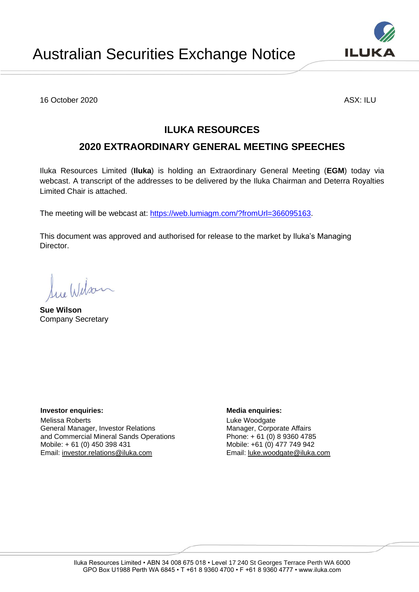16 October 2020 ASX: ILU

# **ILUKA RESOURCES**

# **2020 EXTRAORDINARY GENERAL MEETING SPEECHES**

Iluka Resources Limited (**Iluka**) is holding an Extraordinary General Meeting (**EGM**) today via webcast. A transcript of the addresses to be delivered by the Iluka Chairman and Deterra Royalties Limited Chair is attached.

The meeting will be webcast at: [https://web.lumiagm.com/?fromUrl=366095163.](https://web.lumiagm.com/?fromUrl=366095163)

This document was approved and authorised for release to the market by Iluka's Managing Director.

Lue Wilson **Sue Wilson**

Company Secretary

**Investor enquiries:**  $\qquad \qquad$  **Media enquiries:** 

Melissa Roberts General Manager, Investor Relations and Commercial Mineral Sands Operations Mobile: + 61 (0) 450 398 431 Email: [investor.relations@iluka.com](mailto:investor.relations@iluka.com)

Luke Woodgate Manager, Corporate Affairs Phone: + 61 (0) 8 9360 4785 Mobile: +61 (0) 477 749 942 Email: [luke.woodgate@iluka.com](mailto:luke.woodgate@iluka.com)

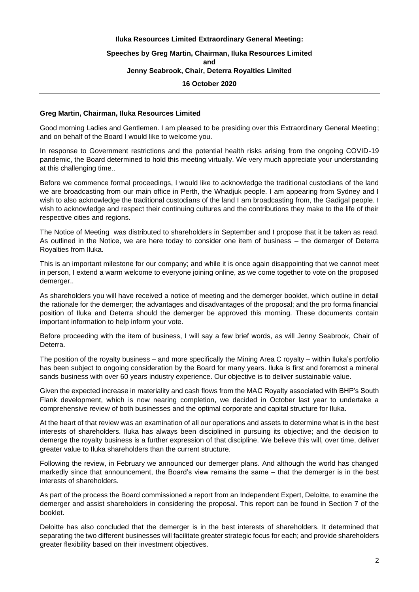## **Iluka Resources Limited Extraordinary General Meeting: Speeches by Greg Martin, Chairman, Iluka Resources Limited and Jenny Seabrook, Chair, Deterra Royalties Limited 16 October 2020**

## **Greg Martin, Chairman, Iluka Resources Limited**

Good morning Ladies and Gentlemen. I am pleased to be presiding over this Extraordinary General Meeting; and on behalf of the Board I would like to welcome you.

In response to Government restrictions and the potential health risks arising from the ongoing COVID-19 pandemic, the Board determined to hold this meeting virtually. We very much appreciate your understanding at this challenging time..

Before we commence formal proceedings, I would like to acknowledge the traditional custodians of the land we are broadcasting from our main office in Perth, the Whadjuk people. I am appearing from Sydney and I wish to also acknowledge the traditional custodians of the land I am broadcasting from, the Gadigal people. I wish to acknowledge and respect their continuing cultures and the contributions they make to the life of their respective cities and regions.

The Notice of Meeting was distributed to shareholders in September and I propose that it be taken as read. As outlined in the Notice, we are here today to consider one item of business – the demerger of Deterra Royalties from Iluka.

This is an important milestone for our company; and while it is once again disappointing that we cannot meet in person, I extend a warm welcome to everyone joining online, as we come together to vote on the proposed demerger..

As shareholders you will have received a notice of meeting and the demerger booklet, which outline in detail the rationale for the demerger; the advantages and disadvantages of the proposal; and the pro forma financial position of Iluka and Deterra should the demerger be approved this morning. These documents contain important information to help inform your vote.

Before proceeding with the item of business, I will say a few brief words, as will Jenny Seabrook, Chair of Deterra.

The position of the royalty business – and more specifically the Mining Area C royalty – within Iluka's portfolio has been subject to ongoing consideration by the Board for many years. Iluka is first and foremost a mineral sands business with over 60 years industry experience. Our objective is to deliver sustainable value.

Given the expected increase in materiality and cash flows from the MAC Royalty associated with BHP's South Flank development, which is now nearing completion, we decided in October last year to undertake a comprehensive review of both businesses and the optimal corporate and capital structure for Iluka.

At the heart of that review was an examination of all our operations and assets to determine what is in the best interests of shareholders. Iluka has always been disciplined in pursuing its objective; and the decision to demerge the royalty business is a further expression of that discipline. We believe this will, over time, deliver greater value to Iluka shareholders than the current structure.

Following the review, in February we announced our demerger plans. And although the world has changed markedly since that announcement, the Board's view remains the same – that the demerger is in the best interests of shareholders.

As part of the process the Board commissioned a report from an Independent Expert, Deloitte, to examine the demerger and assist shareholders in considering the proposal. This report can be found in Section 7 of the booklet.

Deloitte has also concluded that the demerger is in the best interests of shareholders. It determined that separating the two different businesses will facilitate greater strategic focus for each; and provide shareholders greater flexibility based on their investment objectives.